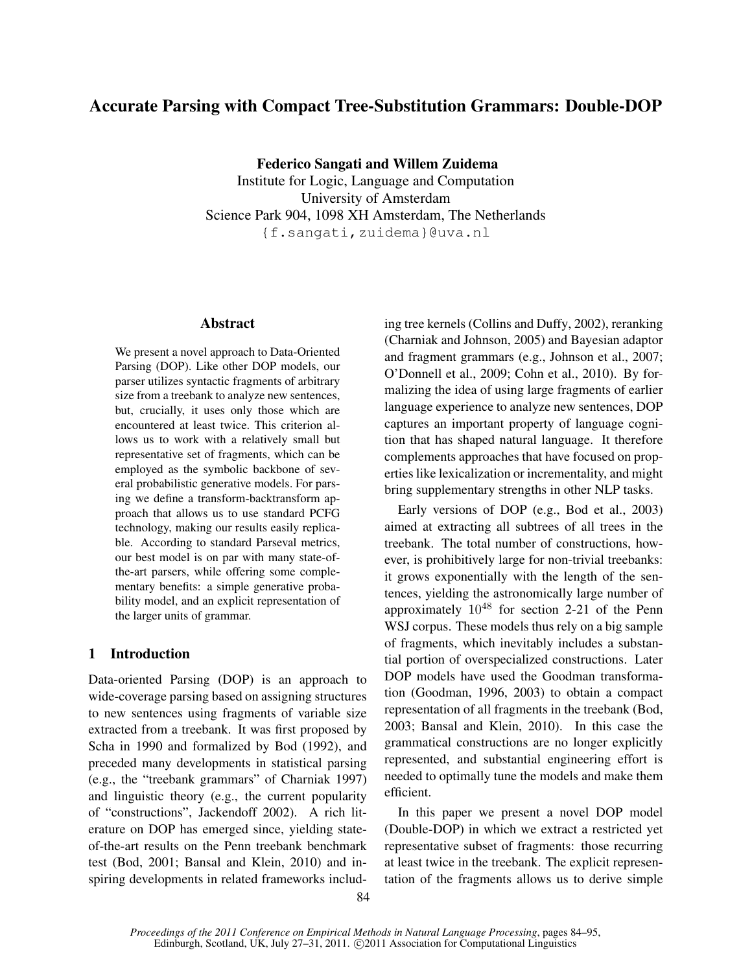# Accurate Parsing with Compact Tree-Substitution Grammars: Double-DOP

Federico Sangati and Willem Zuidema

Institute for Logic, Language and Computation University of Amsterdam Science Park 904, 1098 XH Amsterdam, The Netherlands {f.sangati,zuidema}@uva.nl

# Abstract

We present a novel approach to Data-Oriented Parsing (DOP). Like other DOP models, our parser utilizes syntactic fragments of arbitrary size from a treebank to analyze new sentences, but, crucially, it uses only those which are encountered at least twice. This criterion allows us to work with a relatively small but representative set of fragments, which can be employed as the symbolic backbone of several probabilistic generative models. For parsing we define a transform-backtransform approach that allows us to use standard PCFG technology, making our results easily replicable. According to standard Parseval metrics, our best model is on par with many state-ofthe-art parsers, while offering some complementary benefits: a simple generative probability model, and an explicit representation of the larger units of grammar.

# 1 Introduction

Data-oriented Parsing (DOP) is an approach to wide-coverage parsing based on assigning structures to new sentences using fragments of variable size extracted from a treebank. It was first proposed by Scha in 1990 and formalized by Bod (1992), and preceded many developments in statistical parsing (e.g., the "treebank grammars" of Charniak 1997) and linguistic theory (e.g., the current popularity of "constructions", Jackendoff 2002). A rich literature on DOP has emerged since, yielding stateof-the-art results on the Penn treebank benchmark test (Bod, 2001; Bansal and Klein, 2010) and inspiring developments in related frameworks including tree kernels (Collins and Duffy, 2002), reranking (Charniak and Johnson, 2005) and Bayesian adaptor and fragment grammars (e.g., Johnson et al., 2007; O'Donnell et al., 2009; Cohn et al., 2010). By formalizing the idea of using large fragments of earlier language experience to analyze new sentences, DOP captures an important property of language cognition that has shaped natural language. It therefore complements approaches that have focused on properties like lexicalization or incrementality, and might bring supplementary strengths in other NLP tasks.

Early versions of DOP (e.g., Bod et al., 2003) aimed at extracting all subtrees of all trees in the treebank. The total number of constructions, however, is prohibitively large for non-trivial treebanks: it grows exponentially with the length of the sentences, yielding the astronomically large number of approximately 10<sup>48</sup> for section 2-21 of the Penn WSJ corpus. These models thus rely on a big sample of fragments, which inevitably includes a substantial portion of overspecialized constructions. Later DOP models have used the Goodman transformation (Goodman, 1996, 2003) to obtain a compact representation of all fragments in the treebank (Bod, 2003; Bansal and Klein, 2010). In this case the grammatical constructions are no longer explicitly represented, and substantial engineering effort is needed to optimally tune the models and make them efficient.

In this paper we present a novel DOP model (Double-DOP) in which we extract a restricted yet representative subset of fragments: those recurring at least twice in the treebank. The explicit representation of the fragments allows us to derive simple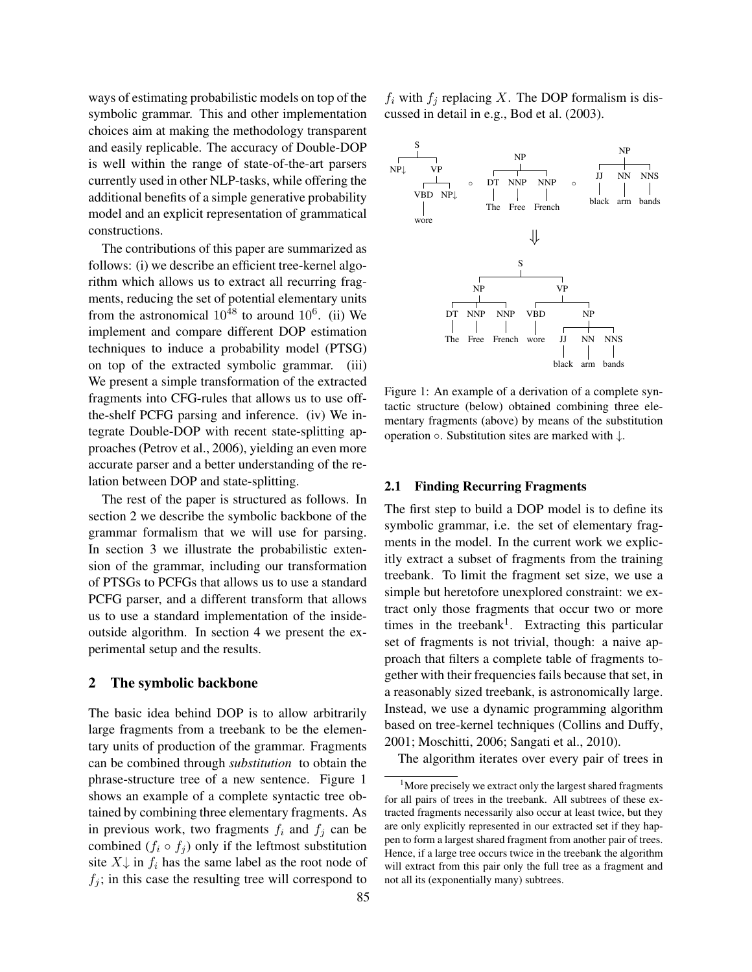ways of estimating probabilistic models on top of the symbolic grammar. This and other implementation choices aim at making the methodology transparent and easily replicable. The accuracy of Double-DOP is well within the range of state-of-the-art parsers currently used in other NLP-tasks, while offering the additional benefits of a simple generative probability model and an explicit representation of grammatical constructions.

The contributions of this paper are summarized as follows: (i) we describe an efficient tree-kernel algorithm which allows us to extract all recurring fragments, reducing the set of potential elementary units from the astronomical  $10^{48}$  to around  $10^6$ . (ii) We implement and compare different DOP estimation techniques to induce a probability model (PTSG) on top of the extracted symbolic grammar. (iii) We present a simple transformation of the extracted fragments into CFG-rules that allows us to use offthe-shelf PCFG parsing and inference. (iv) We integrate Double-DOP with recent state-splitting approaches (Petrov et al., 2006), yielding an even more accurate parser and a better understanding of the relation between DOP and state-splitting.

The rest of the paper is structured as follows. In section 2 we describe the symbolic backbone of the grammar formalism that we will use for parsing. In section 3 we illustrate the probabilistic extension of the grammar, including our transformation of PTSGs to PCFGs that allows us to use a standard PCFG parser, and a different transform that allows us to use a standard implementation of the insideoutside algorithm. In section 4 we present the experimental setup and the results.

## 2 The symbolic backbone

The basic idea behind DOP is to allow arbitrarily large fragments from a treebank to be the elementary units of production of the grammar. Fragments can be combined through *substitution* to obtain the phrase-structure tree of a new sentence. Figure 1 shows an example of a complete syntactic tree obtained by combining three elementary fragments. As in previous work, two fragments  $f_i$  and  $f_j$  can be combined  $(f_i \circ f_j)$  only if the leftmost substitution site  $X\downarrow$  in  $f_i$  has the same label as the root node of  $f_i$ ; in this case the resulting tree will correspond to  $f_i$  with  $f_i$  replacing X. The DOP formalism is discussed in detail in e.g., Bod et al. (2003).



Figure 1: An example of a derivation of a complete syntactic structure (below) obtained combining three elementary fragments (above) by means of the substitution operation ◦. Substitution sites are marked with ↓.

## 2.1 Finding Recurring Fragments

The first step to build a DOP model is to define its symbolic grammar, i.e. the set of elementary fragments in the model. In the current work we explicitly extract a subset of fragments from the training treebank. To limit the fragment set size, we use a simple but heretofore unexplored constraint: we extract only those fragments that occur two or more times in the treebank<sup>1</sup>. Extracting this particular set of fragments is not trivial, though: a naive approach that filters a complete table of fragments together with their frequencies fails because that set, in a reasonably sized treebank, is astronomically large. Instead, we use a dynamic programming algorithm based on tree-kernel techniques (Collins and Duffy, 2001; Moschitti, 2006; Sangati et al., 2010).

The algorithm iterates over every pair of trees in

<sup>&</sup>lt;sup>1</sup>More precisely we extract only the largest shared fragments for all pairs of trees in the treebank. All subtrees of these extracted fragments necessarily also occur at least twice, but they are only explicitly represented in our extracted set if they happen to form a largest shared fragment from another pair of trees. Hence, if a large tree occurs twice in the treebank the algorithm will extract from this pair only the full tree as a fragment and not all its (exponentially many) subtrees.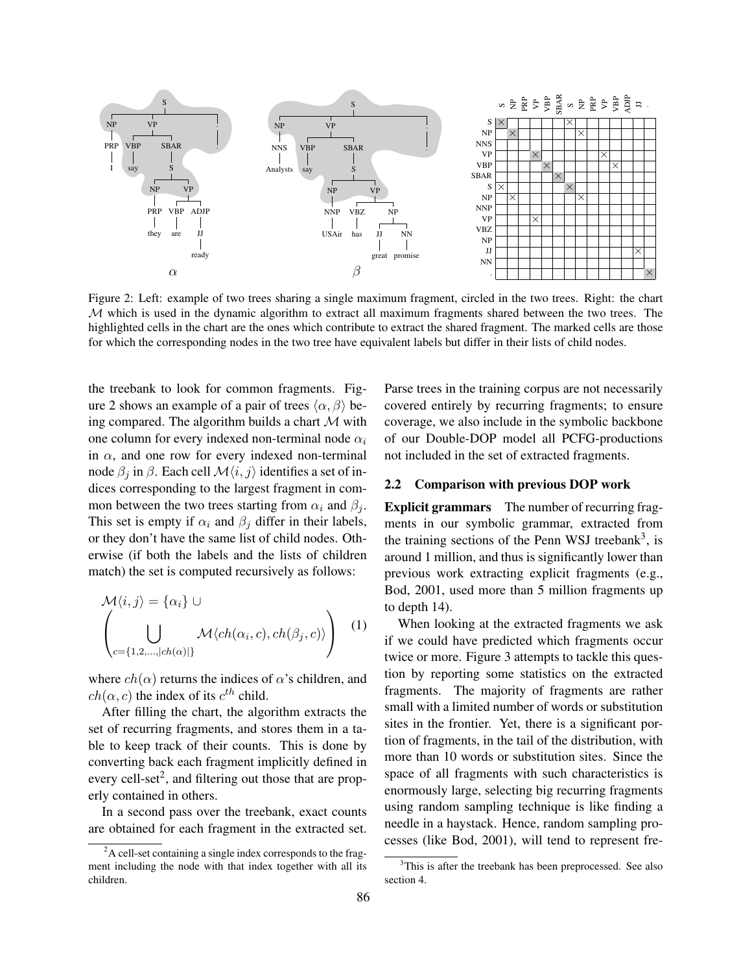

Figure 2: Left: example of two trees sharing a single maximum fragment, circled in the two trees. Right: the chart Figure 2. Left. example of two trees sharing a single maximum fragment, circled in the two trees. Kight, the two trees. M which is used in the dynamic algorithm to extract all maximum fragments shared between the two trees. The highlighted cells in the chart are the ones which contribute to extract the shared fragment. The marked cells are those for which the corresponding nodes in the two tree have equivalent labels but differ in their lists of child nodes.

the treebank to look for common fragments. Figure 2 shows an example of a pair of trees  $\langle \alpha, \beta \rangle$  being compared. The algorithm builds a chart  $M$  with one column for every indexed non-terminal node  $\alpha_i$ in  $\alpha$ , and one row for every indexed non-terminal in  $\alpha$ , and one row for every indexed non-terminal  $deta$  in β. Each cell  $M(i, j)$  identifies a set of indices corresponding to the largest fragment in common between the two trees starting from  $\alpha_i$  and  $\beta_j$ . This set is empty if  $\alpha_i$  and  $\beta_j$  differ in their labels, or they don't have the same list of child nodes. Otherwise (if both the labels and the lists of children match) the set is computed recursively as follows: node  $β_j$  in  $β$ . Each cell  $M\langle i, j \rangle$  identifies a set of in-

$$
\mathcal{M}\langle i,j\rangle = \{\alpha_i\} \cup
$$
\n
$$
\left(\bigcup_{c=\{1,2,\dots,|ch(\alpha)|\}} \mathcal{M}\langle ch(\alpha_i,c), ch(\beta_j,c)\rangle\right)
$$
 (1)

where  $ch(\alpha)$  returns the indices of  $\alpha$ 's children, and where  $\epsilon h(\alpha)$  retains the matters of  $\alpha$  s emitted, the child.

 $\epsilon_{\text{rel}}(a, c)$  the mask of ris c clima.<br>After filling the chart, the algorithm extracts the below the theorem that, the argument counts is done by the set of the basic country. set of recurring hagments, and stores them in a ble to keep track of their counts. This is done converting back each in ery cell-set<sup>2</sup>, and filtering out those that are pro erly contained in others. set of recurring fragments, and stores them in a table to keep track of their counts. This is done by of to keep track of their counts. This is done by converting back each fragment implicitly defined in  $\frac{11}{2}$  contained in every cell-set<sup>2</sup>, and filtering out those that are propary comanicum outchs.

 $\overline{a}$  $\frac{1}{\sqrt{2}}$  contained from  $\frac{1}{\sqrt{2}}$  contained to the fragmental to the fragmental of the fragmental to the fragmental of the fragmental of the fragmental of the fragmental of the fragmental of the fragmental of the f are obtained for each hagment in the extracted s are obtained for each fragment in the extracted set. ment including the node  $\sigma$  is that index to the node with all its  $\sigma$ In a second pass over the treebank, exact counts

Parse trees in the training corpus are not necessarily covered entirely by recurring fragments; to ensure coverage, we also include in the symbolic backbone not included in the set of extracted fragments. of our Double-DOP model all PCFG-productions of our Double-DOP model all PCFG-productions not included in the set of extracted fragments. not included in the set of extracted fragments.

## 2.2 Comparison with previous DOP work 2.2 Comparison with previous DOP work 2.2 Comparison with previous DOP work

**Explicit grammars** The number of recurring fragments in our symbolic grammar, extracted from the training sections of the Penn WSJ treebank<sup>3</sup>, is around 1 million, and thus is significantly lower than previous work extracting explicit fragments (e.g., Bod, 2001, used more than 5 million fragments up to depth 14). **Explicit grammars** The number of recurring frag-

When looking at the extracted fragments we ask if we could have predicted which fragments occur twice or more. Figure 3 attempts to tackle this question by reporting some statistics on the extracted fragments. The majority of fragments are rather  $\frac{1}{3}$  in the frontier. The frontier is a significant port $t_{\text{total}}$  of  $t_{\text{total}}$  of  $t_{\text{total}}$  of the distribution, with  $t_{\text{total}}$  $\frac{m}{n}$  sites in the nontrel. Tet, there is a significant  $\frac{1}{2}$  from or fragments, in the tail of the distribution, more than 10 words or substitution sites. Since space of all fragments with such characteristic enormously large, selecting big recurring fragm using random sampling technique is like finding a asses (like Rod. 2001), will tend to represent  $\frac{1}{2}$ small with a limited number of words or substitution sites in the frontier. Yet, there is a significant portion of fragments, in the tail of the distribution, with non or ragments, in the tant or the distribution, with space of all fragments with such characteristics is space of an inagine its with sach enaracteristic enormously large, selecting big recurring fragments cesses (like Bod, 2001), will tend to represent fresection 4. needle in a haystack. Hence, random sampling pro-

 $\overline{a^2A}$  cell-set containing a single index corresponds to the fragment including the node with that index together with all its children.

 $3$ This is after the treebank has been preprocessed. See also section 4.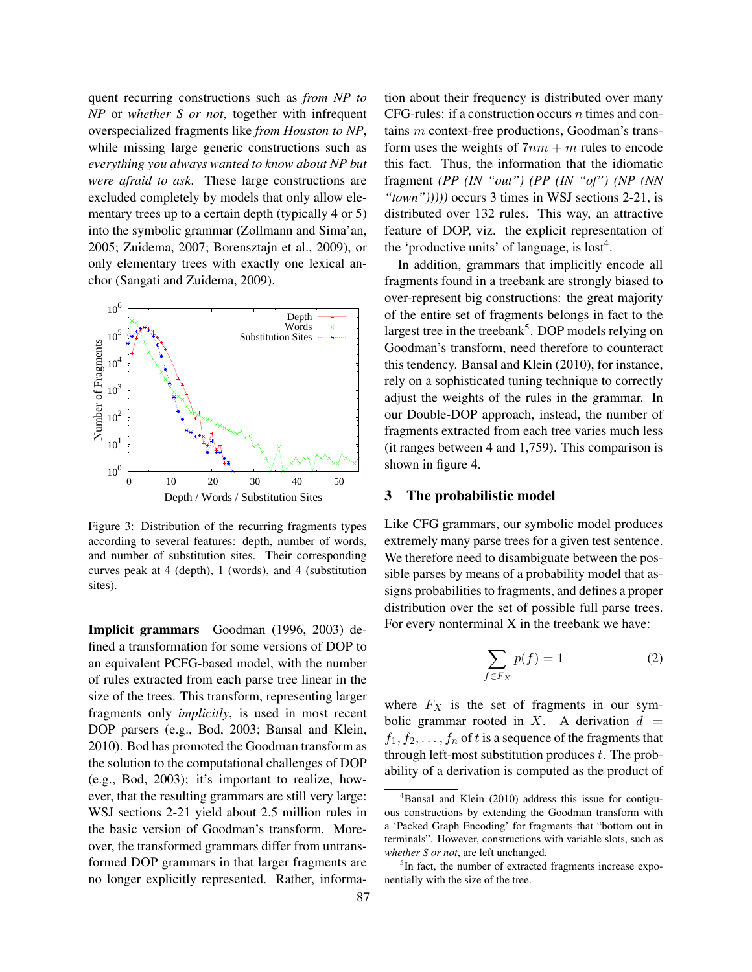quent recurring constructions such as *from NP to NP* or *whether S or not*, together with infrequent overspecialized fragments like *from Houston to NP*, while missing large generic constructions such as *everything you always wanted to know about NP but were afraid to ask*. These large constructions are excluded completely by models that only allow elementary trees up to a certain depth (typically 4 or 5) into the symbolic grammar (Zollmann and Sima'an, 2005; Zuidema, 2007; Borensztajn et al., 2009), or only elementary trees with exactly one lexical anchor (Sangati and Zuidema, 2009).



Figure 3: Distribution of the recurring fragments types according to several features: depth, number of words, and number of substitution sites. Their corresponding curves peak at 4 (depth), 1 (words), and 4 (substitution sites).

Implicit grammars Goodman (1996, 2003) defined a transformation for some versions of DOP to an equivalent PCFG-based model, with the number of rules extracted from each parse tree linear in the size of the trees. This transform, representing larger fragments only *implicitly*, is used in most recent DOP parsers (e.g., Bod, 2003; Bansal and Klein, 2010). Bod has promoted the Goodman transform as the solution to the computational challenges of DOP (e.g., Bod, 2003); it's important to realize, however, that the resulting grammars are still very large: WSJ sections 2-21 yield about 2.5 million rules in the basic version of Goodman's transform. Moreover, the transformed grammars differ from untransformed DOP grammars in that larger fragments are no longer explicitly represented. Rather, information about their frequency is distributed over many CFG-rules: if a construction occurs  $n$  times and contains m context-free productions, Goodman's transform uses the weights of  $7nm + m$  rules to encode this fact. Thus, the information that the idiomatic fragment *(PP (IN "out") (PP (IN "of") (NP (NN "town")))))* occurs 3 times in WSJ sections 2-21, is distributed over 132 rules. This way, an attractive feature of DOP, viz. the explicit representation of the 'productive units' of language, is  $\text{lost}^4$ .

In addition, grammars that implicitly encode all fragments found in a treebank are strongly biased to over-represent big constructions: the great majority of the entire set of fragments belongs in fact to the largest tree in the treebank<sup>5</sup>. DOP models relying on Goodman's transform, need therefore to counteract this tendency. Bansal and Klein (2010), for instance, rely on a sophisticated tuning technique to correctly adjust the weights of the rules in the grammar. In our Double-DOP approach, instead, the number of fragments extracted from each tree varies much less (it ranges between 4 and 1,759). This comparison is shown in figure 4.

#### 3 The probabilistic model

Like CFG grammars, our symbolic model produces extremely many parse trees for a given test sentence. We therefore need to disambiguate between the possible parses by means of a probability model that assigns probabilities to fragments, and defines a proper distribution over the set of possible full parse trees. For every nonterminal X in the treebank we have:

$$
\sum_{f \in F_X} p(f) = 1 \tag{2}
$$

where  $F_X$  is the set of fragments in our symbolic grammar rooted in X. A derivation  $d =$  $f_1, f_2, \ldots, f_n$  of t is a sequence of the fragments that through left-most substitution produces  $t$ . The probability of a derivation is computed as the product of

<sup>&</sup>lt;sup>4</sup>Bansal and Klein (2010) address this issue for contiguous constructions by extending the Goodman transform with a 'Packed Graph Encoding' for fragments that "bottom out in terminals". However, constructions with variable slots, such as *whether S or not*, are left unchanged.

<sup>&</sup>lt;sup>5</sup>In fact, the number of extracted fragments increase exponentially with the size of the tree.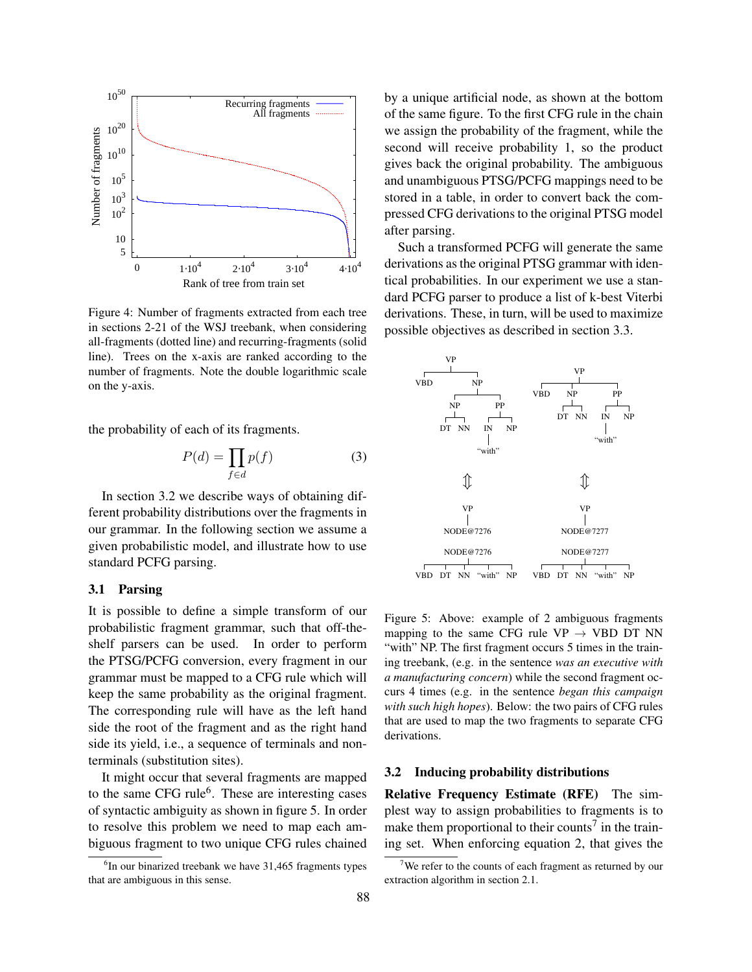

Figure 4: Number of fragments extracted from each tree in sections 2-21 of the WSJ treebank, when considering all-fragments (dotted line) and recurring-fragments (solid line). Trees on the x-axis are ranked according to the number of fragments. Note the double logarithmic scale on the y-axis.

the probability of each of its fragments.

$$
P(d) = \prod_{f \in d} p(f) \tag{3}
$$

In section 3.2 we describe ways of obtaining different probability distributions over the fragments in our grammar. In the following section we assume a given probabilistic model, and illustrate how to use standard PCFG parsing.

#### 3.1 Parsing

It is possible to define a simple transform of our probabilistic fragment grammar, such that off-theshelf parsers can be used. In order to perform the PTSG/PCFG conversion, every fragment in our grammar must be mapped to a CFG rule which will keep the same probability as the original fragment. The corresponding rule will have as the left hand side the root of the fragment and as the right hand side its yield, i.e., a sequence of terminals and nonterminals (substitution sites).

It might occur that several fragments are mapped to the same CFG rule<sup>6</sup>. These are interesting cases of syntactic ambiguity as shown in figure 5. In order to resolve this problem we need to map each ambiguous fragment to two unique CFG rules chained by a unique artificial node, as shown at the bottom of the same figure. To the first CFG rule in the chain we assign the probability of the fragment, while the second will receive probability 1, so the product gives back the original probability. The ambiguous and unambiguous PTSG/PCFG mappings need to be stored in a table, in order to convert back the compressed CFG derivations to the original PTSG model after parsing.

Such a transformed PCFG will generate the same derivations as the original PTSG grammar with identical probabilities. In our experiment we use a standard PCFG parser to produce a list of k-best Viterbi derivations. These, in turn, will be used to maximize possible objectives as described in section 3.3.



Figure 5: Above: example of 2 ambiguous fragments mapping to the same CFG rule  $VP \rightarrow VBD$  DT NN "with" NP. The first fragment occurs 5 times in the training treebank, (e.g. in the sentence *was an executive with a manufacturing concern*) while the second fragment occurs 4 times (e.g. in the sentence *began this campaign with such high hopes*). Below: the two pairs of CFG rules that are used to map the two fragments to separate CFG derivations.

## 3.2 Inducing probability distributions

Relative Frequency Estimate (RFE) The simplest way to assign probabilities to fragments is to make them proportional to their counts<sup>7</sup> in the training set. When enforcing equation 2, that gives the

<sup>&</sup>lt;sup>6</sup>In our binarized treebank we have 31,465 fragments types that are ambiguous in this sense.

<sup>&</sup>lt;sup>7</sup>We refer to the counts of each fragment as returned by our extraction algorithm in section 2.1.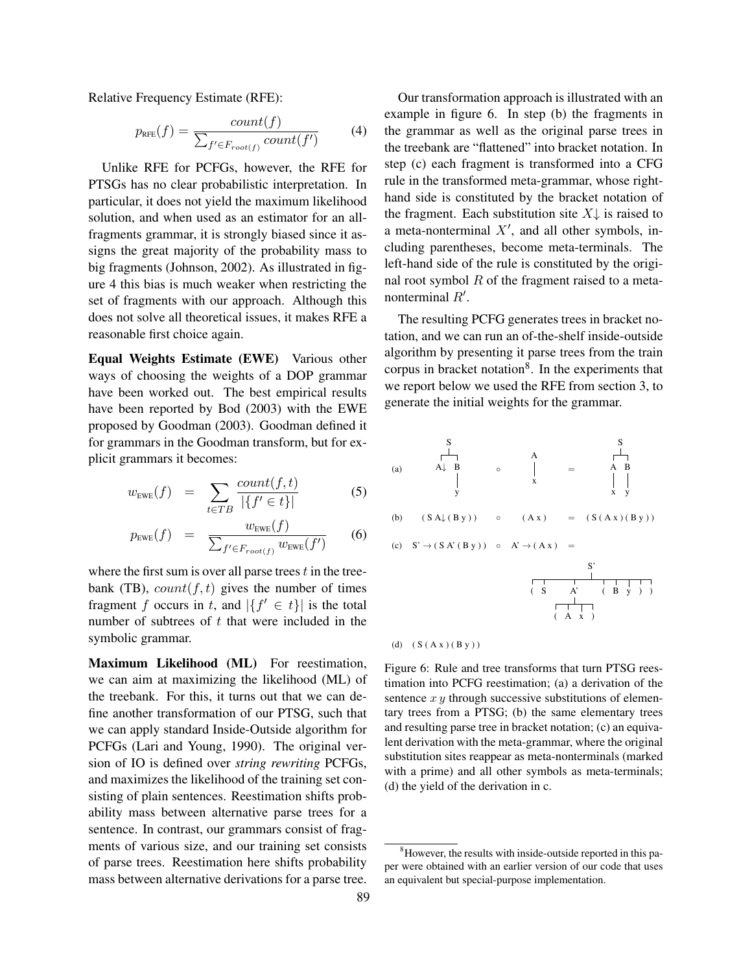Relative Frequency Estimate (RFE):

$$
p_{\text{RFE}}(f) = \frac{count(f)}{\sum_{f' \in F_{root(f)}} count(f')} \tag{4}
$$

Unlike RFE for PCFGs, however, the RFE for PTSGs has no clear probabilistic interpretation. In particular, it does not yield the maximum likelihood solution, and when used as an estimator for an allfragments grammar, it is strongly biased since it assigns the great majority of the probability mass to big fragments (Johnson, 2002). As illustrated in figure 4 this bias is much weaker when restricting the set of fragments with our approach. Although this does not solve all theoretical issues, it makes RFE a reasonable first choice again.

Equal Weights Estimate (EWE) Various other ways of choosing the weights of a DOP grammar have been worked out. The best empirical results have been reported by Bod (2003) with the EWE proposed by Goodman (2003). Goodman defined it for grammars in the Goodman transform, but for explicit grammars it becomes:

$$
w_{\text{EWE}}(f) = \sum_{t \in TB} \frac{\text{count}(f, t)}{|\{f' \in t\}|} \tag{5}
$$

$$
p_{\text{EWE}}(f) = \frac{w_{\text{EWE}}(f)}{\sum_{f' \in F_{root(f)}} w_{\text{EWE}}(f')} \qquad (6)
$$

where the first sum is over all parse trees  $t$  in the treebank (TB),  $count(f, t)$  gives the number of times fragment f occurs in t, and  $|\{f' \in t\}|$  is the total number of subtrees of  $t$  that were included in the symbolic grammar.

Maximum Likelihood (ML) For reestimation, we can aim at maximizing the likelihood (ML) of the treebank. For this, it turns out that we can define another transformation of our PTSG, such that we can apply standard Inside-Outside algorithm for PCFGs (Lari and Young, 1990). The original version of IO is defined over *string rewriting* PCFGs, and maximizes the likelihood of the training set consisting of plain sentences. Reestimation shifts probability mass between alternative parse trees for a sentence. In contrast, our grammars consist of fragments of various size, and our training set consists of parse trees. Reestimation here shifts probability mass between alternative derivations for a parse tree.

Our transformation approach is illustrated with an example in figure 6. In step (b) the fragments in the grammar as well as the original parse trees in the treebank are "flattened" into bracket notation. In step (c) each fragment is transformed into a CFG rule in the transformed meta-grammar, whose righthand side is constituted by the bracket notation of the fragment. Each substitution site  $X\downarrow$  is raised to a meta-nonterminal  $X'$ , and all other symbols, including parentheses, become meta-terminals. The left-hand side of the rule is constituted by the original root symbol  $R$  of the fragment raised to a metanonterminal  $R'$ .

The resulting PCFG generates trees in bracket notation, and we can run an of-the-shelf inside-outside algorithm by presenting it parse trees from the train corpus in bracket notation<sup>8</sup>. In the experiments that we report below we used the RFE from section 3, to generate the initial weights for the grammar.





Figure 6: Rule and tree transforms that turn PTSG reestimation into PCFG reestimation; (a) a derivation of the sentence  $xy$  through successive substitutions of elementary trees from a PTSG; (b) the same elementary trees and resulting parse tree in bracket notation; (c) an equivalent derivation with the meta-grammar, where the original substitution sites reappear as meta-nonterminals (marked with a prime) and all other symbols as meta-terminals; (d) the yield of the derivation in c.

<sup>&</sup>lt;sup>8</sup>However, the results with inside-outside reported in this paper were obtained with an earlier version of our code that uses an equivalent but special-purpose implementation.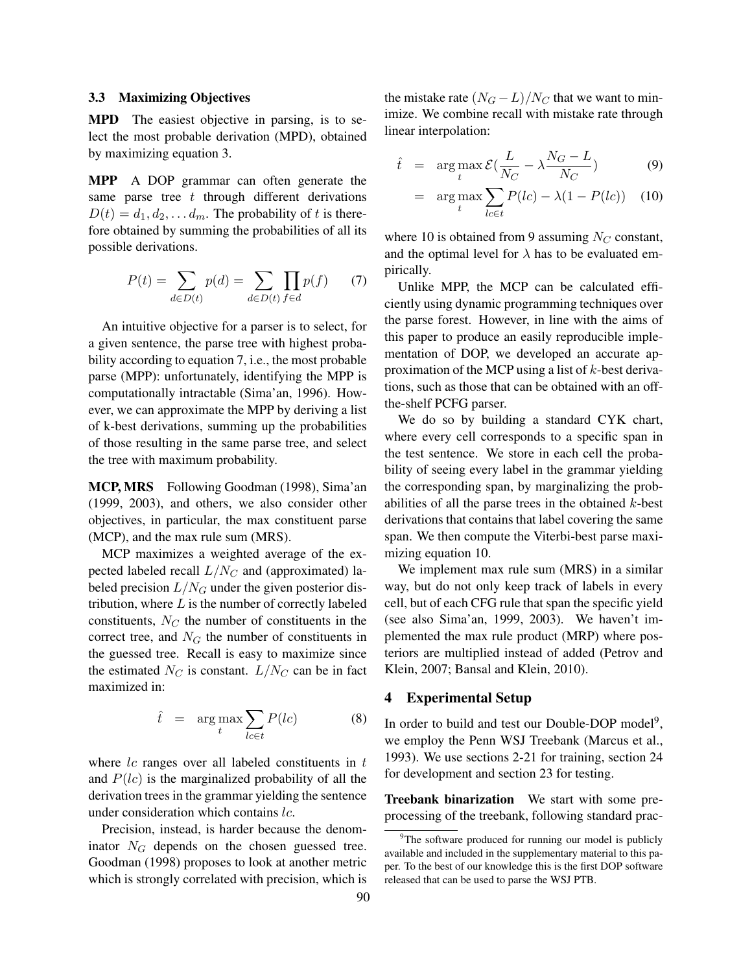#### 3.3 Maximizing Objectives

MPD The easiest objective in parsing, is to select the most probable derivation (MPD), obtained by maximizing equation 3.

MPP A DOP grammar can often generate the same parse tree  $t$  through different derivations  $D(t) = d_1, d_2, \ldots, d_m$ . The probability of t is therefore obtained by summing the probabilities of all its possible derivations.

$$
P(t) = \sum_{d \in D(t)} p(d) = \sum_{d \in D(t)} \prod_{f \in d} p(f) \tag{7}
$$

An intuitive objective for a parser is to select, for a given sentence, the parse tree with highest probability according to equation 7, i.e., the most probable parse (MPP): unfortunately, identifying the MPP is computationally intractable (Sima'an, 1996). However, we can approximate the MPP by deriving a list of k-best derivations, summing up the probabilities of those resulting in the same parse tree, and select the tree with maximum probability.

MCP, MRS Following Goodman (1998), Sima'an (1999, 2003), and others, we also consider other objectives, in particular, the max constituent parse (MCP), and the max rule sum (MRS).

MCP maximizes a weighted average of the expected labeled recall  $L/N_C$  and (approximated) labeled precision  $L/N<sub>G</sub>$  under the given posterior distribution, where  $L$  is the number of correctly labeled constituents,  $N_C$  the number of constituents in the correct tree, and  $N<sub>G</sub>$  the number of constituents in the guessed tree. Recall is easy to maximize since the estimated  $N_C$  is constant.  $L/N_C$  can be in fact maximized in:

$$
\hat{t} = \arg \max_{t} \sum_{l c \in t} P(l c)
$$
 (8)

where  $lc$  ranges over all labeled constituents in  $t$ and  $P(lc)$  is the marginalized probability of all the derivation trees in the grammar yielding the sentence under consideration which contains lc.

Precision, instead, is harder because the denominator  $N_G$  depends on the chosen guessed tree. Goodman (1998) proposes to look at another metric which is strongly correlated with precision, which is the mistake rate  $(N_G - L)/N_C$  that we want to minimize. We combine recall with mistake rate through linear interpolation:

$$
\hat{t} = \arg \max_{t} \mathcal{E} \left( \frac{L}{N_C} - \lambda \frac{N_G - L}{N_C} \right) \tag{9}
$$

$$
= \arg \max_{t} \sum_{l c \in t} P(lc) - \lambda (1 - P(lc)) \quad (10)
$$

where 10 is obtained from 9 assuming  $N_C$  constant, and the optimal level for  $\lambda$  has to be evaluated empirically.

Unlike MPP, the MCP can be calculated efficiently using dynamic programming techniques over the parse forest. However, in line with the aims of this paper to produce an easily reproducible implementation of DOP, we developed an accurate approximation of the MCP using a list of  $k$ -best derivations, such as those that can be obtained with an offthe-shelf PCFG parser.

We do so by building a standard CYK chart, where every cell corresponds to a specific span in the test sentence. We store in each cell the probability of seeing every label in the grammar yielding the corresponding span, by marginalizing the probabilities of all the parse trees in the obtained  $k$ -best derivations that contains that label covering the same span. We then compute the Viterbi-best parse maximizing equation 10.

We implement max rule sum (MRS) in a similar way, but do not only keep track of labels in every cell, but of each CFG rule that span the specific yield (see also Sima'an, 1999, 2003). We haven't implemented the max rule product (MRP) where posteriors are multiplied instead of added (Petrov and Klein, 2007; Bansal and Klein, 2010).

## 4 Experimental Setup

In order to build and test our Double-DOP model<sup>9</sup>, we employ the Penn WSJ Treebank (Marcus et al., 1993). We use sections 2-21 for training, section 24 for development and section 23 for testing.

Treebank binarization We start with some preprocessing of the treebank, following standard prac-

<sup>&</sup>lt;sup>9</sup>The software produced for running our model is publicly available and included in the supplementary material to this paper. To the best of our knowledge this is the first DOP software released that can be used to parse the WSJ PTB.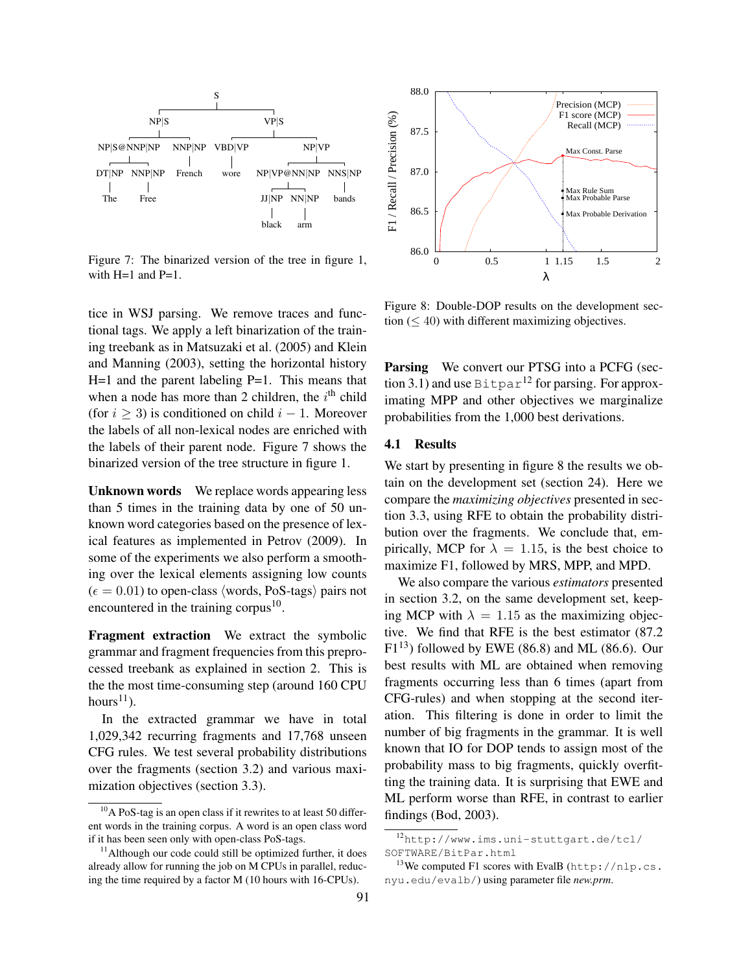

Figure 7: The binarized version of the tree in figure 1, with  $H=1$  and  $P=1$ .

tice in WSJ parsing. We remove traces and functional tags. We apply a left binarization of the training treebank as in Matsuzaki et al. (2005) and Klein and Manning (2003), setting the horizontal history  $H=1$  and the parent labeling  $P=1$ . This means that when a node has more than 2 children, the  $i<sup>th</sup>$  child (for  $i > 3$ ) is conditioned on child  $i - 1$ . Moreover the labels of all non-lexical nodes are enriched with the labels of their parent node. Figure 7 shows the binarized version of the tree structure in figure 1.

Unknown words We replace words appearing less than 5 times in the training data by one of 50 unknown word categories based on the presence of lexical features as implemented in Petrov (2009). In some of the experiments we also perform a smoothing over the lexical elements assigning low counts  $(\epsilon = 0.01)$  to open-class (words, PoS-tags) pairs not encountered in the training corpus<sup>10</sup>.

Fragment extraction We extract the symbolic grammar and fragment frequencies from this preprocessed treebank as explained in section 2. This is the the most time-consuming step (around 160 CPU hours $^{11}$ ).

In the extracted grammar we have in total 1,029,342 recurring fragments and 17,768 unseen CFG rules. We test several probability distributions over the fragments (section 3.2) and various maximization objectives (section 3.3).



Figure 8: Double-DOP results on the development section  $(< 40$ ) with different maximizing objectives.

**Parsing** We convert our PTSG into a PCFG (section 3.1) and use  $B$ itpar<sup>12</sup> for parsing. For approximating MPP and other objectives we marginalize probabilities from the 1,000 best derivations.

# 4.1 Results

We start by presenting in figure 8 the results we obtain on the development set (section 24). Here we compare the *maximizing objectives* presented in section 3.3, using RFE to obtain the probability distribution over the fragments. We conclude that, empirically, MCP for  $\lambda = 1.15$ , is the best choice to maximize F1, followed by MRS, MPP, and MPD.

We also compare the various *estimators* presented in section 3.2, on the same development set, keeping MCP with  $\lambda = 1.15$  as the maximizing objective. We find that RFE is the best estimator (87.2  $F1<sup>13</sup>$ ) followed by EWE (86.8) and ML (86.6). Our best results with ML are obtained when removing fragments occurring less than 6 times (apart from CFG-rules) and when stopping at the second iteration. This filtering is done in order to limit the number of big fragments in the grammar. It is well known that IO for DOP tends to assign most of the probability mass to big fragments, quickly overfitting the training data. It is surprising that EWE and ML perform worse than RFE, in contrast to earlier findings (Bod, 2003).

 $10$ A PoS-tag is an open class if it rewrites to at least 50 different words in the training corpus. A word is an open class word if it has been seen only with open-class PoS-tags.

 $11$ Although our code could still be optimized further, it does already allow for running the job on M CPUs in parallel, reducing the time required by a factor M (10 hours with 16-CPUs).

<sup>12</sup>http://www.ims.uni-stuttgart.de/tcl/ SOFTWARE/BitPar.html

<sup>&</sup>lt;sup>13</sup>We computed F1 scores with EvalB (http://nlp.cs. nyu.edu/evalb/) using parameter file *new.prm*.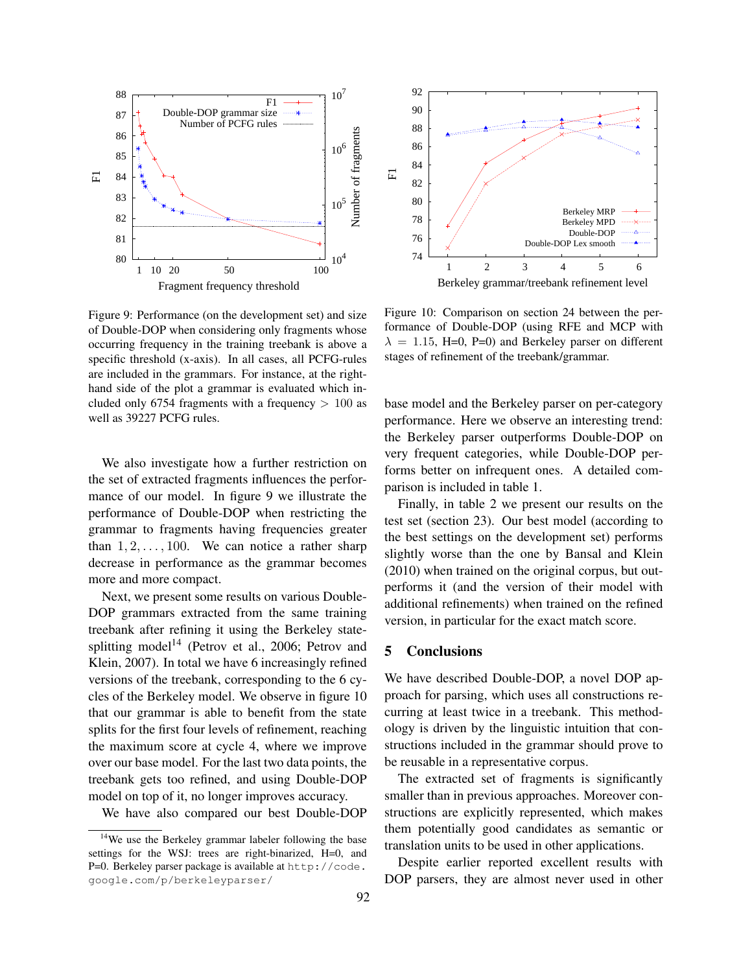

Figure 9: Performance (on the development set) and size of Double-DOP when considering only fragments whose occurring frequency in the training treebank is above a specific threshold (x-axis). In all cases, all PCFG-rules are included in the grammars. For instance, at the righthand side of the plot a grammar is evaluated which included only 6754 fragments with a frequency  $> 100$  as well as 39227 PCFG rules.

We also investigate how a further restriction on the set of extracted fragments influences the performance of our model. In figure 9 we illustrate the performance of Double-DOP when restricting the grammar to fragments having frequencies greater than  $1, 2, \ldots, 100$ . We can notice a rather sharp decrease in performance as the grammar becomes more and more compact.

Next, we present some results on various Double-DOP grammars extracted from the same training treebank after refining it using the Berkeley statesplitting model<sup>14</sup> (Petrov et al., 2006; Petrov and Klein, 2007). In total we have 6 increasingly refined versions of the treebank, corresponding to the 6 cycles of the Berkeley model. We observe in figure 10 that our grammar is able to benefit from the state splits for the first four levels of refinement, reaching the maximum score at cycle 4, where we improve over our base model. For the last two data points, the treebank gets too refined, and using Double-DOP model on top of it, no longer improves accuracy.

We have also compared our best Double-DOP



Berkeley grammar/treebank refinement level

Figure 10: Comparison on section 24 between the performance of Double-DOP (using RFE and MCP with  $\lambda = 1.15$ , H=0, P=0) and Berkeley parser on different stages of refinement of the treebank/grammar.

base model and the Berkeley parser on per-category performance. Here we observe an interesting trend: the Berkeley parser outperforms Double-DOP on very frequent categories, while Double-DOP performs better on infrequent ones. A detailed comparison is included in table 1.

Finally, in table 2 we present our results on the test set (section 23). Our best model (according to the best settings on the development set) performs slightly worse than the one by Bansal and Klein (2010) when trained on the original corpus, but outperforms it (and the version of their model with additional refinements) when trained on the refined version, in particular for the exact match score.

#### 5 Conclusions

We have described Double-DOP, a novel DOP approach for parsing, which uses all constructions recurring at least twice in a treebank. This methodology is driven by the linguistic intuition that constructions included in the grammar should prove to be reusable in a representative corpus.

The extracted set of fragments is significantly smaller than in previous approaches. Moreover constructions are explicitly represented, which makes them potentially good candidates as semantic or translation units to be used in other applications.

Despite earlier reported excellent results with DOP parsers, they are almost never used in other

<sup>&</sup>lt;sup>14</sup>We use the Berkeley grammar labeler following the base settings for the WSJ: trees are right-binarized, H=0, and P=0. Berkeley parser package is available at http://code. google.com/p/berkeleyparser/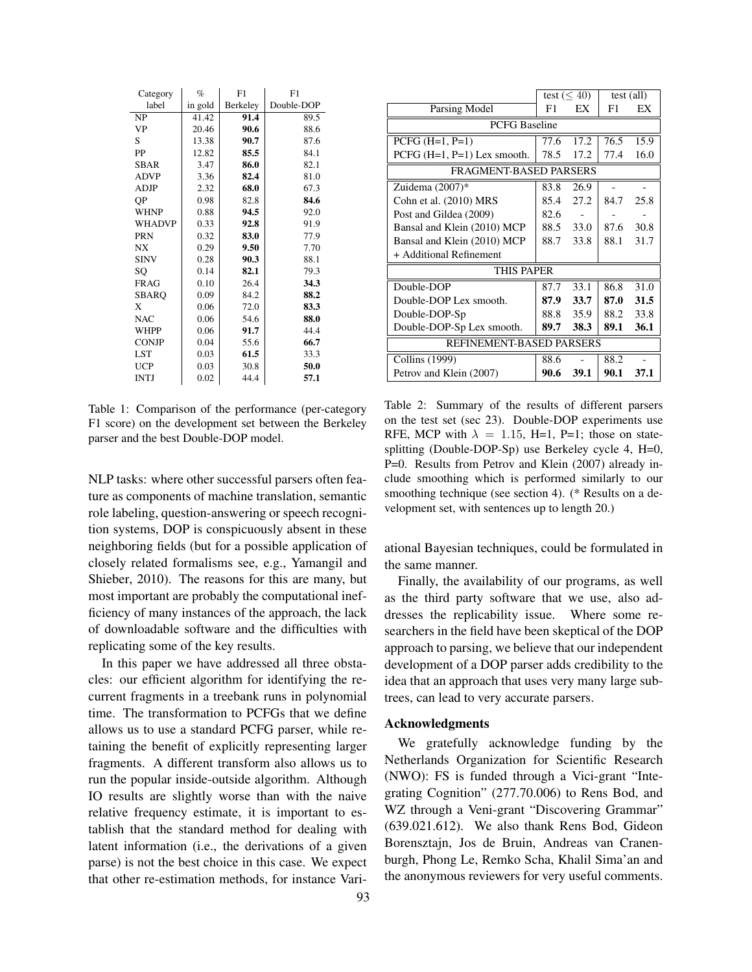| Category      | %       | F1       | F1         |  |
|---------------|---------|----------|------------|--|
| label         | in gold | Berkeley | Double-DOP |  |
| NP            | 41.42   | 91.4     | 89.5       |  |
| <b>VP</b>     | 20.46   | 90.6     | 88.6       |  |
| S             | 13.38   | 90.7     | 87.6       |  |
| PP            | 12.82   | 85.5     | 84.1       |  |
| <b>SBAR</b>   | 3.47    | 86.0     | 82.1       |  |
| <b>ADVP</b>   | 3.36    | 82.4     | 81.0       |  |
| ADJP          | 2.32    | 68.0     | 67.3       |  |
| QP            | 0.98    | 82.8     | 84.6       |  |
| <b>WHNP</b>   | 0.88    | 94.5     | 92.0       |  |
| <b>WHADVP</b> | 0.33    | 92.8     | 91.9       |  |
| <b>PRN</b>    | 0.32    | 83.0     | 77.9       |  |
| NX            | 0.29    | 9.50     | 7.70       |  |
| <b>SINV</b>   | 0.28    | 90.3     | 88.1       |  |
| SQ            | 0.14    | 82.1     | 79.3       |  |
| <b>FRAG</b>   | 0.10    | 26.4     | 34.3       |  |
| SBARQ         | 0.09    | 84.2     | 88.2       |  |
| X             | 0.06    | 72.0     | 83.3       |  |
| <b>NAC</b>    | 0.06    | 54.6     | 88.0       |  |
| <b>WHPP</b>   | 0.06    | 91.7     | 44.4       |  |
| <b>CONJP</b>  | 0.04    | 55.6     | 66.7       |  |
| LST           | 0.03    | 61.5     | 33.3       |  |
| <b>UCP</b>    | 0.03    | 30.8     | 50.0       |  |
| <b>INTJ</b>   | 0.02    | 44.4     | 57.1       |  |

Table 1: Comparison of the performance (per-category F1 score) on the development set between the Berkeley parser and the best Double-DOP model.

NLP tasks: where other successful parsers often feature as components of machine translation, semantic role labeling, question-answering or speech recognition systems, DOP is conspicuously absent in these neighboring fields (but for a possible application of closely related formalisms see, e.g., Yamangil and Shieber, 2010). The reasons for this are many, but most important are probably the computational inefficiency of many instances of the approach, the lack of downloadable software and the difficulties with replicating some of the key results.

In this paper we have addressed all three obstacles: our efficient algorithm for identifying the recurrent fragments in a treebank runs in polynomial time. The transformation to PCFGs that we define allows us to use a standard PCFG parser, while retaining the benefit of explicitly representing larger fragments. A different transform also allows us to run the popular inside-outside algorithm. Although IO results are slightly worse than with the naive relative frequency estimate, it is important to establish that the standard method for dealing with latent information (i.e., the derivations of a given parse) is not the best choice in this case. We expect that other re-estimation methods, for instance Vari-

|                               | test $(< 40)$ |      | test (all) |      |  |  |  |
|-------------------------------|---------------|------|------------|------|--|--|--|
| Parsing Model                 | F1            | EX   | F1         | EX   |  |  |  |
| <b>PCFG</b> Baseline          |               |      |            |      |  |  |  |
| $PCFG (H=1, P=1)$             | 77.6          | 17.2 | 76.5       | 15.9 |  |  |  |
| PCFG $(H=1, P=1)$ Lex smooth. | 78.5          | 17.2 | 77.4       | 16.0 |  |  |  |
| <b>FRAGMENT-BASED PARSERS</b> |               |      |            |      |  |  |  |
| Zuidema (2007)*               | 83.8          | 26.9 |            |      |  |  |  |
| Cohn et al. (2010) MRS        | 85.4          | 27.2 | 84.7       | 25.8 |  |  |  |
| Post and Gildea (2009)        | 82.6          |      |            |      |  |  |  |
| Bansal and Klein (2010) MCP   | 88.5          | 33.0 | 87.6       | 30.8 |  |  |  |
| Bansal and Klein (2010) MCP   | 88.7          | 33.8 | 88.1       | 31.7 |  |  |  |
| + Additional Refinement       |               |      |            |      |  |  |  |
| <b>THIS PAPER</b>             |               |      |            |      |  |  |  |
| Double-DOP                    | 87.7          | 33.1 | 86.8       | 31.0 |  |  |  |
| Double-DOP Lex smooth.        | 87.9          | 33.7 | 87.0       | 31.5 |  |  |  |
| Double-DOP-Sp                 | 88.8          | 35.9 | 88.2       | 33.8 |  |  |  |
| Double-DOP-Sp Lex smooth.     | 89.7          | 38.3 | 89.1       | 36.1 |  |  |  |
| REFINEMENT-BASED PARSERS      |               |      |            |      |  |  |  |
| Collins (1999)                | 88.6          |      | 88.2       |      |  |  |  |
| Petrov and Klein (2007)       | 90.6          | 39.1 | 90.1       | 37.1 |  |  |  |

Table 2: Summary of the results of different parsers on the test set (sec 23). Double-DOP experiments use RFE, MCP with  $\lambda = 1.15$ , H=1, P=1; those on statesplitting (Double-DOP-Sp) use Berkeley cycle 4, H=0, P=0. Results from Petrov and Klein (2007) already include smoothing which is performed similarly to our smoothing technique (see section 4). (\* Results on a development set, with sentences up to length 20.)

ational Bayesian techniques, could be formulated in the same manner.

Finally, the availability of our programs, as well as the third party software that we use, also addresses the replicability issue. Where some researchers in the field have been skeptical of the DOP approach to parsing, we believe that our independent development of a DOP parser adds credibility to the idea that an approach that uses very many large subtrees, can lead to very accurate parsers.

## Acknowledgments

We gratefully acknowledge funding by the Netherlands Organization for Scientific Research (NWO): FS is funded through a Vici-grant "Integrating Cognition" (277.70.006) to Rens Bod, and WZ through a Veni-grant "Discovering Grammar" (639.021.612). We also thank Rens Bod, Gideon Borensztajn, Jos de Bruin, Andreas van Cranenburgh, Phong Le, Remko Scha, Khalil Sima'an and the anonymous reviewers for very useful comments.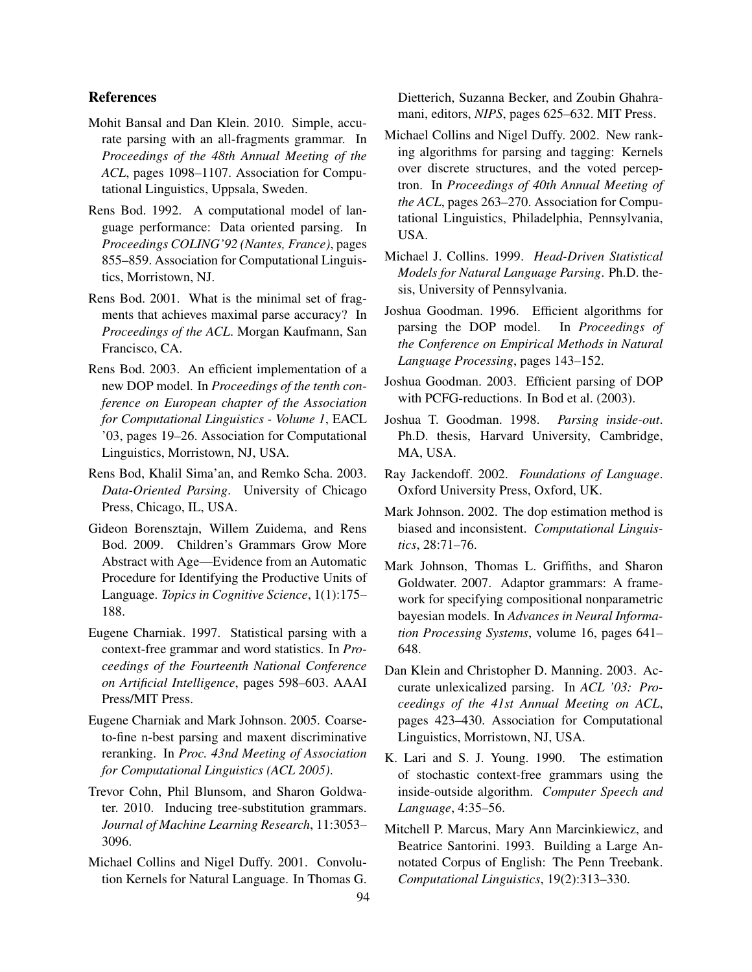# References

- Mohit Bansal and Dan Klein. 2010. Simple, accurate parsing with an all-fragments grammar. In *Proceedings of the 48th Annual Meeting of the ACL*, pages 1098–1107. Association for Computational Linguistics, Uppsala, Sweden.
- Rens Bod. 1992. A computational model of language performance: Data oriented parsing. In *Proceedings COLING'92 (Nantes, France)*, pages 855–859. Association for Computational Linguistics, Morristown, NJ.
- Rens Bod. 2001. What is the minimal set of fragments that achieves maximal parse accuracy? In *Proceedings of the ACL*. Morgan Kaufmann, San Francisco, CA.
- Rens Bod. 2003. An efficient implementation of a new DOP model. In *Proceedings of the tenth conference on European chapter of the Association for Computational Linguistics - Volume 1*, EACL '03, pages 19–26. Association for Computational Linguistics, Morristown, NJ, USA.
- Rens Bod, Khalil Sima'an, and Remko Scha. 2003. *Data-Oriented Parsing*. University of Chicago Press, Chicago, IL, USA.
- Gideon Borensztajn, Willem Zuidema, and Rens Bod. 2009. Children's Grammars Grow More Abstract with Age—Evidence from an Automatic Procedure for Identifying the Productive Units of Language. *Topics in Cognitive Science*, 1(1):175– 188.
- Eugene Charniak. 1997. Statistical parsing with a context-free grammar and word statistics. In *Proceedings of the Fourteenth National Conference on Artificial Intelligence*, pages 598–603. AAAI Press/MIT Press.
- Eugene Charniak and Mark Johnson. 2005. Coarseto-fine n-best parsing and maxent discriminative reranking. In *Proc. 43nd Meeting of Association for Computational Linguistics (ACL 2005)*.
- Trevor Cohn, Phil Blunsom, and Sharon Goldwater. 2010. Inducing tree-substitution grammars. *Journal of Machine Learning Research*, 11:3053– 3096.
- Michael Collins and Nigel Duffy. 2001. Convolution Kernels for Natural Language. In Thomas G.

Dietterich, Suzanna Becker, and Zoubin Ghahramani, editors, *NIPS*, pages 625–632. MIT Press.

- Michael Collins and Nigel Duffy. 2002. New ranking algorithms for parsing and tagging: Kernels over discrete structures, and the voted perceptron. In *Proceedings of 40th Annual Meeting of the ACL*, pages 263–270. Association for Computational Linguistics, Philadelphia, Pennsylvania, USA.
- Michael J. Collins. 1999. *Head-Driven Statistical Models for Natural Language Parsing*. Ph.D. thesis, University of Pennsylvania.
- Joshua Goodman. 1996. Efficient algorithms for parsing the DOP model. In *Proceedings of the Conference on Empirical Methods in Natural Language Processing*, pages 143–152.
- Joshua Goodman. 2003. Efficient parsing of DOP with PCFG-reductions. In Bod et al. (2003).
- Joshua T. Goodman. 1998. *Parsing inside-out*. Ph.D. thesis, Harvard University, Cambridge, MA, USA.
- Ray Jackendoff. 2002. *Foundations of Language*. Oxford University Press, Oxford, UK.
- Mark Johnson. 2002. The dop estimation method is biased and inconsistent. *Computational Linguistics*, 28:71–76.
- Mark Johnson, Thomas L. Griffiths, and Sharon Goldwater. 2007. Adaptor grammars: A framework for specifying compositional nonparametric bayesian models. In *Advances in Neural Information Processing Systems*, volume 16, pages 641– 648.
- Dan Klein and Christopher D. Manning. 2003. Accurate unlexicalized parsing. In *ACL '03: Proceedings of the 41st Annual Meeting on ACL*, pages 423–430. Association for Computational Linguistics, Morristown, NJ, USA.
- K. Lari and S. J. Young. 1990. The estimation of stochastic context-free grammars using the inside-outside algorithm. *Computer Speech and Language*, 4:35–56.
- Mitchell P. Marcus, Mary Ann Marcinkiewicz, and Beatrice Santorini. 1993. Building a Large Annotated Corpus of English: The Penn Treebank. *Computational Linguistics*, 19(2):313–330.